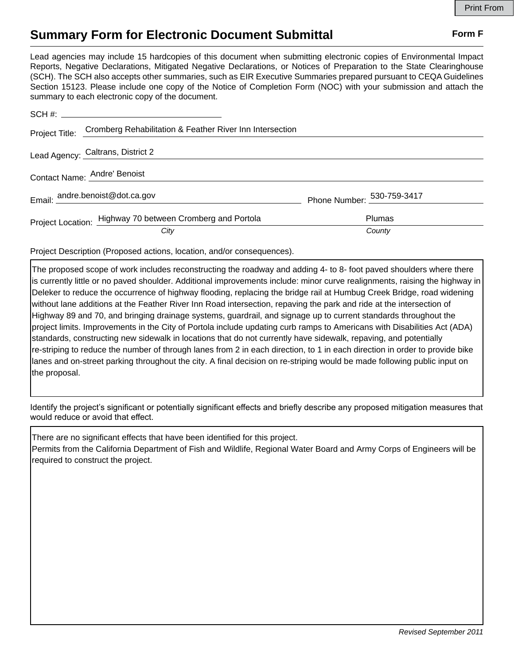## **Summary Form for Electronic Document Submittal Form F Form F**

Lead agencies may include 15 hardcopies of this document when submitting electronic copies of Environmental Impact Reports, Negative Declarations, Mitigated Negative Declarations, or Notices of Preparation to the State Clearinghouse (SCH). The SCH also accepts other summaries, such as EIR Executive Summaries prepared pursuant to CEQA Guidelines Section 15123. Please include one copy of the Notice of Completion Form (NOC) with your submission and attach the summary to each electronic copy of the document.

|                              | Project Title: Cromberg Rehabilitation & Feather River Inn Intersection |                                        |
|------------------------------|-------------------------------------------------------------------------|----------------------------------------|
|                              | Lead Agency: Caltrans, District 2                                       |                                        |
| Contact Name: Andre' Benoist |                                                                         |                                        |
|                              | Email: andre.benoist@dot.ca.gov                                         | Phone Number: $\frac{530-759-3417}{2}$ |
|                              | Project Location: Highway 70 between Cromberg and Portola               | Plumas                                 |
|                              | City                                                                    | County                                 |

Project Description (Proposed actions, location, and/or consequences).

The proposed scope of work includes reconstructing the roadway and adding 4- to 8- foot paved shoulders where there is currently little or no paved shoulder. Additional improvements include: minor curve realignments, raising the highway in Deleker to reduce the occurrence of highway flooding, replacing the bridge rail at Humbug Creek Bridge, road widening without lane additions at the Feather River Inn Road intersection, repaving the park and ride at the intersection of Highway 89 and 70, and bringing drainage systems, guardrail, and signage up to current standards throughout the project limits. Improvements in the City of Portola include updating curb ramps to Americans with Disabilities Act (ADA) standards, constructing new sidewalk in locations that do not currently have sidewalk, repaving, and potentially re-striping to reduce the number of through lanes from 2 in each direction, to 1 in each direction in order to provide bike lanes and on-street parking throughout the city. A final decision on re-striping would be made following public input on the proposal.

Identify the project's significant or potentially significant effects and briefly describe any proposed mitigation measures that would reduce or avoid that effect.

There are no significant effects that have been identified for this project. Permits from the California Department of Fish and Wildlife, Regional Water Board and Army Corps of Engineers will be required to construct the project.